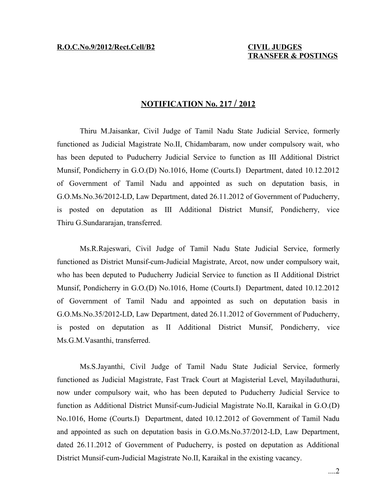## **N OTIFICATION No. 217 / 2 012**

Thiru M.Jaisankar, Civil Judge of Tamil Nadu State Judicial Service, formerly functioned as Judicial Magistrate No.II, Chidambaram, now under compulsory wait, who has been deputed to Puducherry Judicial Service to function as III Additional District Munsif, Pondicherry in G.O.(D) No.1016, Home (Courts.I) Department, dated 10.12.2012 of Government of Tamil Nadu and appointed as such on deputation basis, in G.O.Ms.No.36/2012-LD, Law Department, dated 26.11.2012 of Government of Puducherry, is posted on deputation as III Additional District Munsif, Pondicherry, vice Thiru G.Sundararajan, transferred.

Ms.R.Rajeswari, Civil Judge of Tamil Nadu State Judicial Service, formerly functioned as District Munsif-cum-Judicial Magistrate, Arcot, now under compulsory wait, who has been deputed to Puducherry Judicial Service to function as II Additional District Munsif, Pondicherry in G.O.(D) No.1016, Home (Courts.I) Department, dated 10.12.2012 of Government of Tamil Nadu and appointed as such on deputation basis in G.O.Ms.No.35/2012-LD, Law Department, dated 26.11.2012 of Government of Puducherry, is posted on deputation as II Additional District Munsif, Pondicherry, vice Ms.G.M.Vasanthi, transferred.

Ms.S.Jayanthi, Civil Judge of Tamil Nadu State Judicial Service, formerly functioned as Judicial Magistrate, Fast Track Court at Magisterial Level, Mayiladuthurai, now under compulsory wait, who has been deputed to Puducherry Judicial Service to function as Additional District Munsif-cum-Judicial Magistrate No.II, Karaikal in G.O.(D) No.1016, Home (Courts.I) Department, dated 10.12.2012 of Government of Tamil Nadu and appointed as such on deputation basis in G.O.Ms.No.37/2012-LD, Law Department, dated 26.11.2012 of Government of Puducherry, is posted on deputation as Additional District Munsif-cum-Judicial Magistrate No.II, Karaikal in the existing vacancy.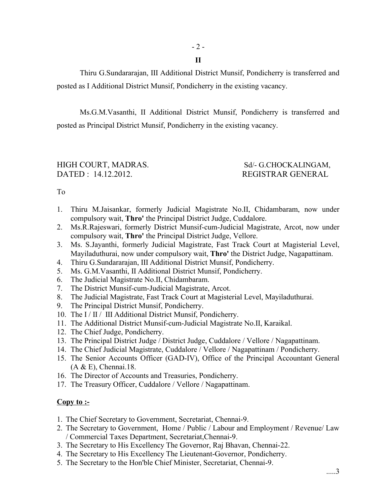$-2 -$ 

**II**

Thiru G.Sundararajan, III Additional District Munsif, Pondicherry is transferred and posted as I Additional District Munsif, Pondicherry in the existing vacancy.

Ms.G.M.Vasanthi, II Additional District Munsif, Pondicherry is transferred and posted as Principal District Munsif, Pondicherry in the existing vacancy.

## HIGH COURT, MADRAS. Sd/- G.CHOCKALINGAM, DATED : 14.12.2012. REGISTRAR GENERAL

To

- 1. Thiru M.Jaisankar, formerly Judicial Magistrate No.II, Chidambaram, now under compulsory wait, **Thro'** the Principal District Judge, Cuddalore.
- 2. Ms.R.Rajeswari, formerly District Munsif-cum-Judicial Magistrate, Arcot, now under compulsory wait, **Thro'** the Principal District Judge, Vellore.
- 3. Ms. S.Jayanthi, formerly Judicial Magistrate, Fast Track Court at Magisterial Level, Mayiladuthurai, now under compulsory wait, **Thro'** the District Judge, Nagapattinam.
- 4. Thiru G.Sundararajan, III Additional District Munsif, Pondicherry.
- 5. Ms. G.M.Vasanthi, II Additional District Munsif, Pondicherry.
- 6. The Judicial Magistrate No.II, Chidambaram.
- 7. The District Munsif-cum-Judicial Magistrate, Arcot.
- 8. The Judicial Magistrate, Fast Track Court at Magisterial Level, Mayiladuthurai.
- 9. The Principal District Munsif, Pondicherry.
- 10. The I / II / III Additional District Munsif, Pondicherry.
- 11. The Additional District Munsif-cum-Judicial Magistrate No.II, Karaikal.
- 12. The Chief Judge, Pondicherry.
- 13. The Principal District Judge / District Judge, Cuddalore / Vellore / Nagapattinam.
- 14. The Chief Judicial Magistrate, Cuddalore / Vellore / Nagapattinam / Pondicherry.
- 15. The Senior Accounts Officer (GAD-IV), Office of the Principal Accountant General (A & E), Chennai.18.
- 16. The Director of Accounts and Treasuries, Pondicherry.
- 17. The Treasury Officer, Cuddalore / Vellore / Nagapattinam.

## **Copy to :-**

- 1. The Chief Secretary to Government, Secretariat, Chennai-9.
- 2. The Secretary to Government, Home / Public / Labour and Employment / Revenue/ Law / Commercial Taxes Department, Secretariat,Chennai-9.
- 3. The Secretary to His Excellency The Governor, Raj Bhavan, Chennai-22.
- 4. The Secretary to His Excellency The Lieutenant-Governor, Pondicherry.
- 5. The Secretary to the Hon'ble Chief Minister, Secretariat, Chennai-9.